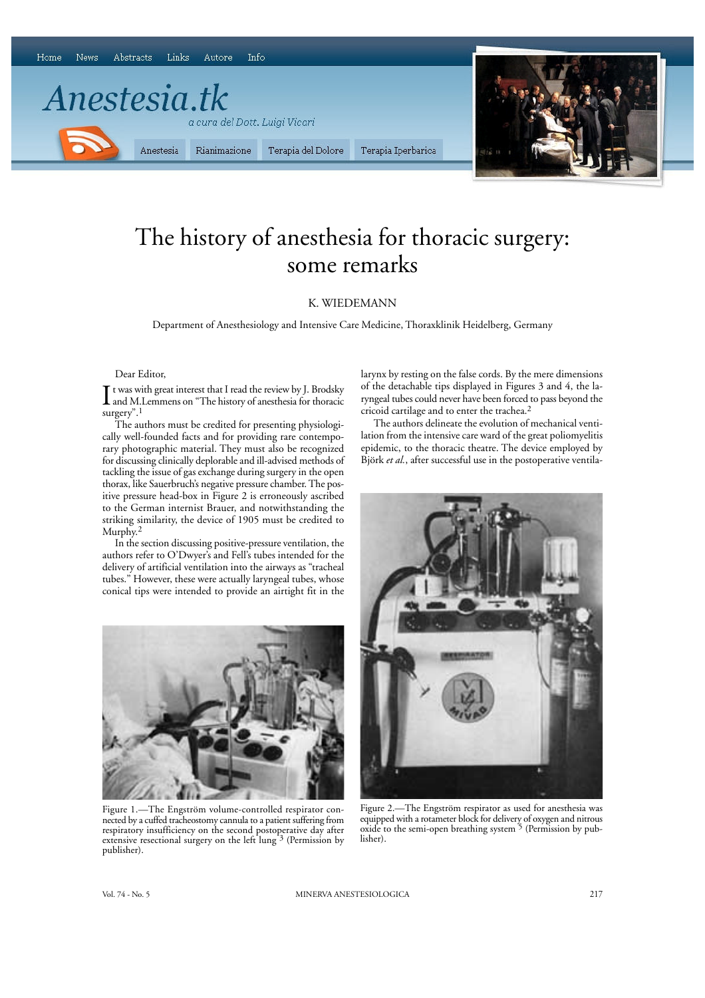

# The history of anesthesia for thoracic surgery: some remarks

## K. WIEDEMANN

Department of Anesthesiology and Intensive Care Medicine, Thoraxklinik Heidelberg, Germany

#### Dear Editor,

I t was with great interest that I read the review by J. Brodsky<br>and M.Lemmens on "The history of anesthesia for thoracic t was with great interest that I read the review by J. Brodsky surgery".1

The authors must be credited for presenting physiologically well-founded facts and for providing rare contemporary photographic material. They must also be recognized for discussing clinically deplorable and ill-advised methods of tackling the issue of gas exchange during surgery in the open thorax, like Sauerbruch's negative pressure chamber. The positive pressure head-box in Figure 2 is erroneously ascribed to the German internist Brauer, and notwithstanding the striking similarity, the device of 1905 must be credited to Murphy.2

In the section discussing positive-pressure ventilation, the authors refer to O'Dwyer's and Fell's tubes intended for the delivery of artificial ventilation into the airways as "tracheal tubes." However, these were actually laryngeal tubes, whose conical tips were intended to provide an airtight fit in the



Figure 1.—The Engström volume-controlled respirator connected by a cuffed tracheostomy cannula to a patient suffering from respiratory insufficiency on the second postoperative day after extensive resectional surgery on the left lung<sup>3</sup> (Permission by publisher).

larynx by resting on the false cords. By the mere dimensions of the detachable tips displayed in Figures 3 and 4, the laryngeal tubes could never have been forced to pass beyond the cricoid cartilage and to enter the trachea.2

The authors delineate the evolution of mechanical ventilation from the intensive care ward of the great poliomyelitis epidemic, to the thoracic theatre. The device employed by Björk *et al.*, after successful use in the postoperative ventila-



Figure 2.—The Engström respirator as used for anesthesia was equipped with a rotameter block for delivery of oxygen and nitrous oxide to the semi-open breathing system 5 (Permission by publisher).